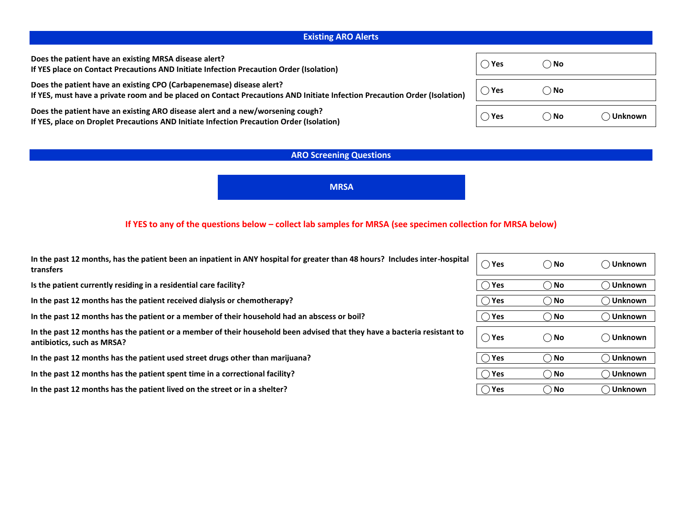# **Existing ARO Alerts**

| Does the patient have an existing MRSA disease alert?<br>If YES place on Contact Precautions AND Initiate Infection Precaution Order (Isolation)                                                  | ()Yes         | ()No          |         |
|---------------------------------------------------------------------------------------------------------------------------------------------------------------------------------------------------|---------------|---------------|---------|
| Does the patient have an existing CPO (Carbapenemase) disease alert?<br>If YES, must have a private room and be placed on Contact Precautions AND Initiate Infection Precaution Order (Isolation) | $\bigcup$ Yes | $\bigcirc$ No |         |
| Does the patient have an existing ARO disease alert and a new/worsening cough?<br>If YES, place on Droplet Precautions AND Initiate Infection Precaution Order (Isolation)                        | ◯ Yes         | $\bigcirc$ No | Unknown |

# **ARO Screening Questions**

**MRSA**

# **If YES to any of the questions below – collect lab samples for MRSA (see specimen collection for MRSA below)**

| In the past 12 months, has the patient been an inpatient in ANY hospital for greater than 48 hours? Includes inter-hospital<br>transfers               | $\bigcirc$ Yes | $\bigcirc$ No | ◯ Unknown |
|--------------------------------------------------------------------------------------------------------------------------------------------------------|----------------|---------------|-----------|
| Is the patient currently residing in a residential care facility?                                                                                      | $\bigcap$ Yes  | $\bigcirc$ No | Unknown   |
| In the past 12 months has the patient received dialysis or chemotherapy?                                                                               | $\bigcirc$ Yes | $\bigcirc$ No | ) Unknown |
| In the past 12 months has the patient or a member of their household had an abscess or boil?                                                           | $\bigcap$ Yes  | $\bigcirc$ No | ) Unknown |
| In the past 12 months has the patient or a member of their household been advised that they have a bacteria resistant to<br>antibiotics, such as MRSA? | $\bigcirc$ Yes | $\bigcirc$ No | ◯ Unknown |
| In the past 12 months has the patient used street drugs other than marijuana?                                                                          | $\bigcirc$ Yes | $\bigcirc$ No | ◯ Unknown |
| In the past 12 months has the patient spent time in a correctional facility?                                                                           | $\bigcirc$ Yes | $\bigcirc$ No | ◯ Unknown |
| In the past 12 months has the patient lived on the street or in a shelter?                                                                             | $\bigcirc$ Yes | $\bigcirc$ No | ) Unknown |